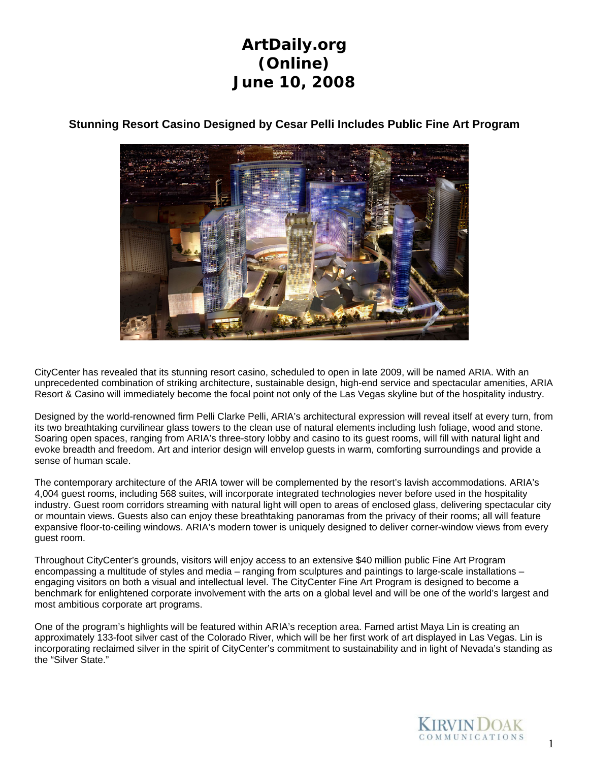

#### **Stunning Resort Casino Designed by Cesar Pelli Includes Public Fine Art Program**

CityCenter has revealed that its stunning resort casino, scheduled to open in late 2009, will be named ARIA. With an unprecedented combination of striking architecture, sustainable design, high-end service and spectacular amenities, ARIA Resort & Casino will immediately become the focal point not only of the Las Vegas skyline but of the hospitality industry.

Designed by the world-renowned firm Pelli Clarke Pelli, ARIA's architectural expression will reveal itself at every turn, from its two breathtaking curvilinear glass towers to the clean use of natural elements including lush foliage, wood and stone. Soaring open spaces, ranging from ARIA's three-story lobby and casino to its guest rooms, will fill with natural light and evoke breadth and freedom. Art and interior design will envelop guests in warm, comforting surroundings and provide a sense of human scale.

The contemporary architecture of the ARIA tower will be complemented by the resort's lavish accommodations. ARIA's 4,004 guest rooms, including 568 suites, will incorporate integrated technologies never before used in the hospitality industry. Guest room corridors streaming with natural light will open to areas of enclosed glass, delivering spectacular city or mountain views. Guests also can enjoy these breathtaking panoramas from the privacy of their rooms; all will feature expansive floor-to-ceiling windows. ARIA's modern tower is uniquely designed to deliver corner-window views from every guest room.

Throughout CityCenter's grounds, visitors will enjoy access to an extensive \$40 million public Fine Art Program encompassing a multitude of styles and media – ranging from sculptures and paintings to large-scale installations – engaging visitors on both a visual and intellectual level. The CityCenter Fine Art Program is designed to become a benchmark for enlightened corporate involvement with the arts on a global level and will be one of the world's largest and most ambitious corporate art programs.

One of the program's highlights will be featured within ARIA's reception area. Famed artist Maya Lin is creating an approximately 133-foot silver cast of the Colorado River, which will be her first work of art displayed in Las Vegas. Lin is incorporating reclaimed silver in the spirit of CityCenter's commitment to sustainability and in light of Nevada's standing as the "Silver State."

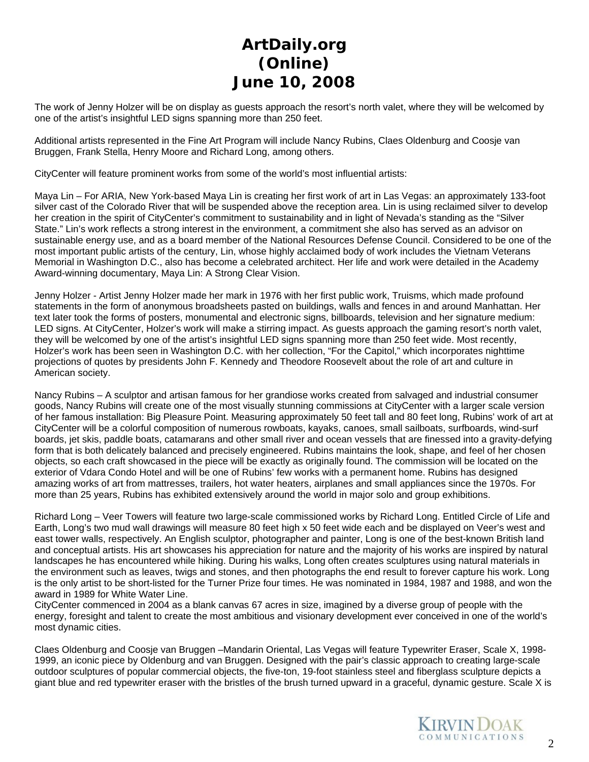The work of Jenny Holzer will be on display as guests approach the resort's north valet, where they will be welcomed by one of the artist's insightful LED signs spanning more than 250 feet.

Additional artists represented in the Fine Art Program will include Nancy Rubins, Claes Oldenburg and Coosje van Bruggen, Frank Stella, Henry Moore and Richard Long, among others.

CityCenter will feature prominent works from some of the world's most influential artists:

Maya Lin – For ARIA, New York-based Maya Lin is creating her first work of art in Las Vegas: an approximately 133-foot silver cast of the Colorado River that will be suspended above the reception area. Lin is using reclaimed silver to develop her creation in the spirit of CityCenter's commitment to sustainability and in light of Nevada's standing as the "Silver State." Lin's work reflects a strong interest in the environment, a commitment she also has served as an advisor on sustainable energy use, and as a board member of the National Resources Defense Council. Considered to be one of the most important public artists of the century, Lin, whose highly acclaimed body of work includes the Vietnam Veterans Memorial in Washington D.C., also has become a celebrated architect. Her life and work were detailed in the Academy Award-winning documentary, Maya Lin: A Strong Clear Vision.

Jenny Holzer - Artist Jenny Holzer made her mark in 1976 with her first public work, Truisms, which made profound statements in the form of anonymous broadsheets pasted on buildings, walls and fences in and around Manhattan. Her text later took the forms of posters, monumental and electronic signs, billboards, television and her signature medium: LED signs. At CityCenter, Holzer's work will make a stirring impact. As guests approach the gaming resort's north valet, they will be welcomed by one of the artist's insightful LED signs spanning more than 250 feet wide. Most recently, Holzer's work has been seen in Washington D.C. with her collection, "For the Capitol," which incorporates nighttime projections of quotes by presidents John F. Kennedy and Theodore Roosevelt about the role of art and culture in American society.

Nancy Rubins – A sculptor and artisan famous for her grandiose works created from salvaged and industrial consumer goods, Nancy Rubins will create one of the most visually stunning commissions at CityCenter with a larger scale version of her famous installation: Big Pleasure Point. Measuring approximately 50 feet tall and 80 feet long, Rubins' work of art at CityCenter will be a colorful composition of numerous rowboats, kayaks, canoes, small sailboats, surfboards, wind-surf boards, jet skis, paddle boats, catamarans and other small river and ocean vessels that are finessed into a gravity-defying form that is both delicately balanced and precisely engineered. Rubins maintains the look, shape, and feel of her chosen objects, so each craft showcased in the piece will be exactly as originally found. The commission will be located on the exterior of Vdara Condo Hotel and will be one of Rubins' few works with a permanent home. Rubins has designed amazing works of art from mattresses, trailers, hot water heaters, airplanes and small appliances since the 1970s. For more than 25 years, Rubins has exhibited extensively around the world in major solo and group exhibitions.

Richard Long – Veer Towers will feature two large-scale commissioned works by Richard Long. Entitled Circle of Life and Earth, Long's two mud wall drawings will measure 80 feet high x 50 feet wide each and be displayed on Veer's west and east tower walls, respectively. An English sculptor, photographer and painter, Long is one of the best-known British land and conceptual artists. His art showcases his appreciation for nature and the majority of his works are inspired by natural landscapes he has encountered while hiking. During his walks, Long often creates sculptures using natural materials in the environment such as leaves, twigs and stones, and then photographs the end result to forever capture his work. Long is the only artist to be short-listed for the Turner Prize four times. He was nominated in 1984, 1987 and 1988, and won the award in 1989 for White Water Line.

CityCenter commenced in 2004 as a blank canvas 67 acres in size, imagined by a diverse group of people with the energy, foresight and talent to create the most ambitious and visionary development ever conceived in one of the world's most dynamic cities.

Claes Oldenburg and Coosje van Bruggen –Mandarin Oriental, Las Vegas will feature Typewriter Eraser, Scale X, 1998- 1999, an iconic piece by Oldenburg and van Bruggen. Designed with the pair's classic approach to creating large-scale outdoor sculptures of popular commercial objects, the five-ton, 19-foot stainless steel and fiberglass sculpture depicts a giant blue and red typewriter eraser with the bristles of the brush turned upward in a graceful, dynamic gesture. Scale X is

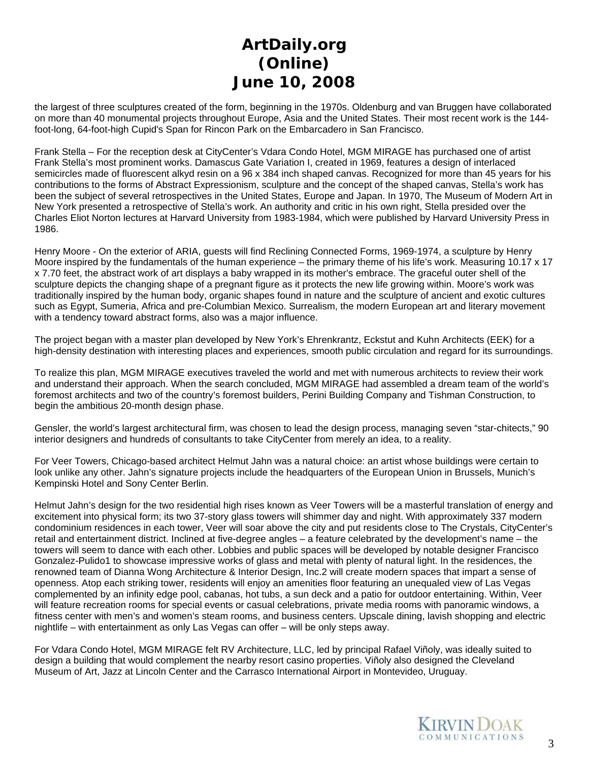the largest of three sculptures created of the form, beginning in the 1970s. Oldenburg and van Bruggen have collaborated on more than 40 monumental projects throughout Europe, Asia and the United States. Their most recent work is the 144 foot-long, 64-foot-high Cupid's Span for Rincon Park on the Embarcadero in San Francisco.

Frank Stella – For the reception desk at CityCenter's Vdara Condo Hotel, MGM MIRAGE has purchased one of artist Frank Stella's most prominent works. Damascus Gate Variation I, created in 1969, features a design of interlaced semicircles made of fluorescent alkyd resin on a 96 x 384 inch shaped canvas. Recognized for more than 45 years for his contributions to the forms of Abstract Expressionism, sculpture and the concept of the shaped canvas, Stella's work has been the subject of several retrospectives in the United States, Europe and Japan. In 1970, The Museum of Modern Art in New York presented a retrospective of Stella's work. An authority and critic in his own right, Stella presided over the Charles Eliot Norton lectures at Harvard University from 1983-1984, which were published by Harvard University Press in 1986.

Henry Moore - On the exterior of ARIA, guests will find Reclining Connected Forms, 1969-1974, a sculpture by Henry Moore inspired by the fundamentals of the human experience – the primary theme of his life's work. Measuring 10.17 x 17 x 7.70 feet, the abstract work of art displays a baby wrapped in its mother's embrace. The graceful outer shell of the sculpture depicts the changing shape of a pregnant figure as it protects the new life growing within. Moore's work was traditionally inspired by the human body, organic shapes found in nature and the sculpture of ancient and exotic cultures such as Egypt, Sumeria, Africa and pre-Columbian Mexico. Surrealism, the modern European art and literary movement with a tendency toward abstract forms, also was a major influence.

The project began with a master plan developed by New York's Ehrenkrantz, Eckstut and Kuhn Architects (EEK) for a high-density destination with interesting places and experiences, smooth public circulation and regard for its surroundings.

To realize this plan, MGM MIRAGE executives traveled the world and met with numerous architects to review their work and understand their approach. When the search concluded, MGM MIRAGE had assembled a dream team of the world's foremost architects and two of the country's foremost builders, Perini Building Company and Tishman Construction, to begin the ambitious 20-month design phase.

Gensler, the world's largest architectural firm, was chosen to lead the design process, managing seven "star-chitects," 90 interior designers and hundreds of consultants to take CityCenter from merely an idea, to a reality.

For Veer Towers, Chicago-based architect Helmut Jahn was a natural choice: an artist whose buildings were certain to look unlike any other. Jahn's signature projects include the headquarters of the European Union in Brussels, Munich's Kempinski Hotel and Sony Center Berlin.

Helmut Jahn's design for the two residential high rises known as Veer Towers will be a masterful translation of energy and excitement into physical form; its two 37-story glass towers will shimmer day and night. With approximately 337 modern condominium residences in each tower, Veer will soar above the city and put residents close to The Crystals, CityCenter's retail and entertainment district. Inclined at five-degree angles – a feature celebrated by the development's name – the towers will seem to dance with each other. Lobbies and public spaces will be developed by notable designer Francisco Gonzalez-Pulido1 to showcase impressive works of glass and metal with plenty of natural light. In the residences, the renowned team of Dianna Wong Architecture & Interior Design, Inc.2 will create modern spaces that impart a sense of openness. Atop each striking tower, residents will enjoy an amenities floor featuring an unequaled view of Las Vegas complemented by an infinity edge pool, cabanas, hot tubs, a sun deck and a patio for outdoor entertaining. Within, Veer will feature recreation rooms for special events or casual celebrations, private media rooms with panoramic windows, a fitness center with men's and women's steam rooms, and business centers. Upscale dining, lavish shopping and electric nightlife – with entertainment as only Las Vegas can offer – will be only steps away.

For Vdara Condo Hotel, MGM MIRAGE felt RV Architecture, LLC, led by principal Rafael Viñoly, was ideally suited to design a building that would complement the nearby resort casino properties. Viñoly also designed the Cleveland Museum of Art, Jazz at Lincoln Center and the Carrasco International Airport in Montevideo, Uruguay.

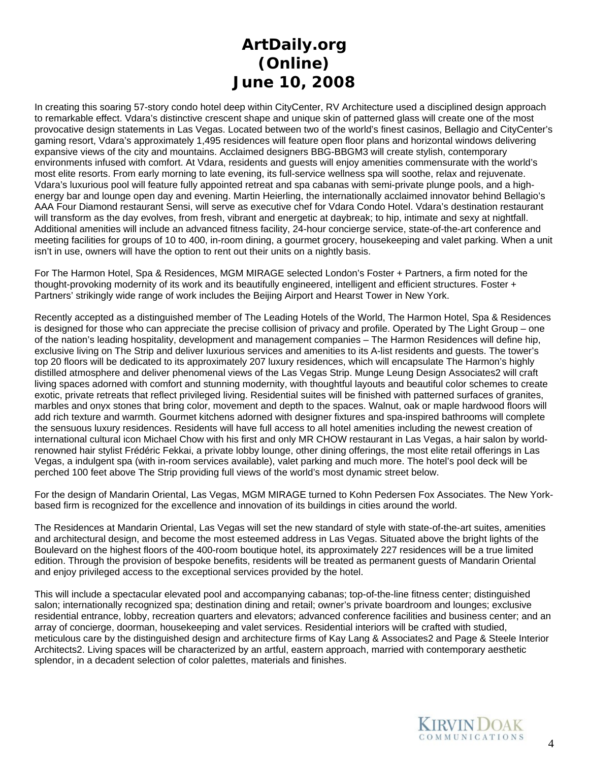In creating this soaring 57-story condo hotel deep within CityCenter, RV Architecture used a disciplined design approach to remarkable effect. Vdara's distinctive crescent shape and unique skin of patterned glass will create one of the most provocative design statements in Las Vegas. Located between two of the world's finest casinos, Bellagio and CityCenter's gaming resort, Vdara's approximately 1,495 residences will feature open floor plans and horizontal windows delivering expansive views of the city and mountains. Acclaimed designers BBG-BBGM3 will create stylish, contemporary environments infused with comfort. At Vdara, residents and guests will enjoy amenities commensurate with the world's most elite resorts. From early morning to late evening, its full-service wellness spa will soothe, relax and rejuvenate. Vdara's luxurious pool will feature fully appointed retreat and spa cabanas with semi-private plunge pools, and a highenergy bar and lounge open day and evening. Martin Heierling, the internationally acclaimed innovator behind Bellagio's AAA Four Diamond restaurant Sensi, will serve as executive chef for Vdara Condo Hotel. Vdara's destination restaurant will transform as the day evolves, from fresh, vibrant and energetic at daybreak; to hip, intimate and sexy at nightfall. Additional amenities will include an advanced fitness facility, 24-hour concierge service, state-of-the-art conference and meeting facilities for groups of 10 to 400, in-room dining, a gourmet grocery, housekeeping and valet parking. When a unit isn't in use, owners will have the option to rent out their units on a nightly basis.

For The Harmon Hotel, Spa & Residences, MGM MIRAGE selected London's Foster + Partners, a firm noted for the thought-provoking modernity of its work and its beautifully engineered, intelligent and efficient structures. Foster + Partners' strikingly wide range of work includes the Beijing Airport and Hearst Tower in New York.

Recently accepted as a distinguished member of The Leading Hotels of the World, The Harmon Hotel, Spa & Residences is designed for those who can appreciate the precise collision of privacy and profile. Operated by The Light Group – one of the nation's leading hospitality, development and management companies – The Harmon Residences will define hip, exclusive living on The Strip and deliver luxurious services and amenities to its A-list residents and guests. The tower's top 20 floors will be dedicated to its approximately 207 luxury residences, which will encapsulate The Harmon's highly distilled atmosphere and deliver phenomenal views of the Las Vegas Strip. Munge Leung Design Associates2 will craft living spaces adorned with comfort and stunning modernity, with thoughtful layouts and beautiful color schemes to create exotic, private retreats that reflect privileged living. Residential suites will be finished with patterned surfaces of granites, marbles and onyx stones that bring color, movement and depth to the spaces. Walnut, oak or maple hardwood floors will add rich texture and warmth. Gourmet kitchens adorned with designer fixtures and spa-inspired bathrooms will complete the sensuous luxury residences. Residents will have full access to all hotel amenities including the newest creation of international cultural icon Michael Chow with his first and only MR CHOW restaurant in Las Vegas, a hair salon by worldrenowned hair stylist Frédéric Fekkai, a private lobby lounge, other dining offerings, the most elite retail offerings in Las Vegas, a indulgent spa (with in-room services available), valet parking and much more. The hotel's pool deck will be perched 100 feet above The Strip providing full views of the world's most dynamic street below.

For the design of Mandarin Oriental, Las Vegas, MGM MIRAGE turned to Kohn Pedersen Fox Associates. The New Yorkbased firm is recognized for the excellence and innovation of its buildings in cities around the world.

The Residences at Mandarin Oriental, Las Vegas will set the new standard of style with state-of-the-art suites, amenities and architectural design, and become the most esteemed address in Las Vegas. Situated above the bright lights of the Boulevard on the highest floors of the 400-room boutique hotel, its approximately 227 residences will be a true limited edition. Through the provision of bespoke benefits, residents will be treated as permanent guests of Mandarin Oriental and enjoy privileged access to the exceptional services provided by the hotel.

This will include a spectacular elevated pool and accompanying cabanas; top-of-the-line fitness center; distinguished salon; internationally recognized spa; destination dining and retail; owner's private boardroom and lounges; exclusive residential entrance, lobby, recreation quarters and elevators; advanced conference facilities and business center; and an array of concierge, doorman, housekeeping and valet services. Residential interiors will be crafted with studied, meticulous care by the distinguished design and architecture firms of Kay Lang & Associates2 and Page & Steele Interior Architects2. Living spaces will be characterized by an artful, eastern approach, married with contemporary aesthetic splendor, in a decadent selection of color palettes, materials and finishes.